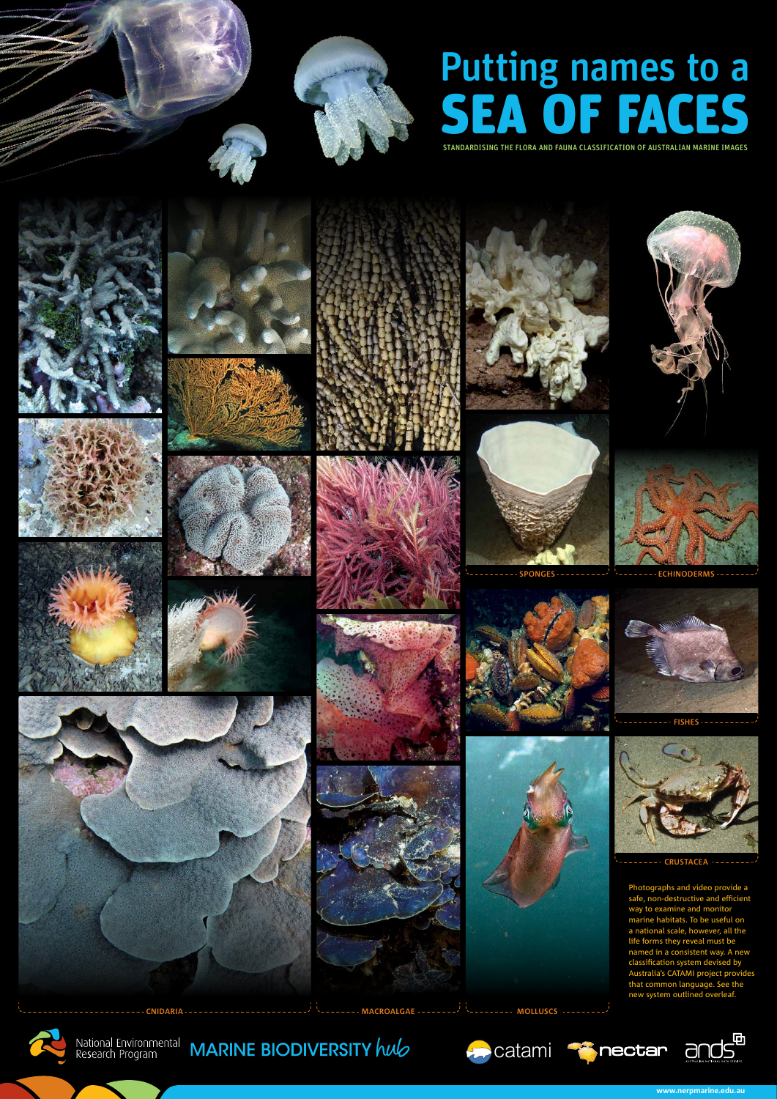Photographs and video provide a safe, non-destructive and efficient way to examine and monitor marine habitats. To be useful on a national scale, however, all the life forms they reveal must be named in a consistent way. A new classification system devised by Australia's CATAMI project provides that common language. See the new system outlined overleaf.



National Environmental MARINE BIODIVERSITY hub



**CRUSTACEA**













**SPONGES** - – – – – – – – – <sup>/</sup> Element – ECHINODERMS













## SEA OF FACES Putting names to a